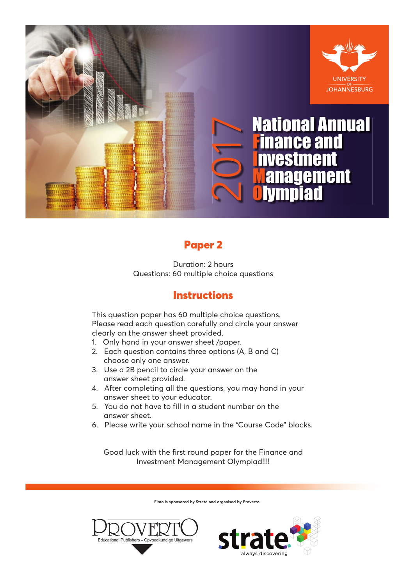

# Paper 2

Duration: 2 hours Questions: 60 multiple choice questions

# **Instructions**

This question paper has 60 multiple choice questions. Please read each question carefully and circle your answer clearly on the answer sheet provided.

- 1. Only hand in your answer sheet /paper.
- 2. Each question contains three options (A, B and C) choose only one answer.
- 3. Use a 2B pencil to circle your answer on the answer sheet provided.
- 4. After completing all the questions, you may hand in your answer sheet to your educator.
- 5. You do not have to fill in a student number on the answer sheet.
- 6. Please write your school name in the "Course Code" blocks.

Good luck with the first round paper for the Finance and Investment Management Olympiad!!!!

Fimo is sponsored by Strate and organised by Proverto



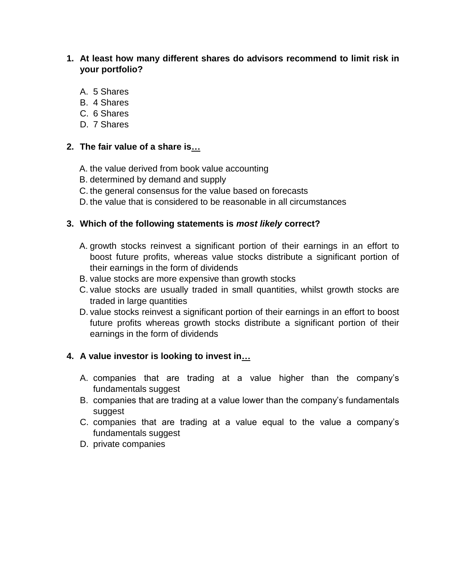#### **1. At least how many different shares do advisors recommend to limit risk in your portfolio?**

- A. 5 Shares
- B. 4 Shares
- C. 6 Shares
- D. 7 Shares

#### **2. The fair value of a share is…**

- A. the value derived from book value accounting
- B. determined by demand and supply
- C. the general consensus for the value based on forecasts
- D. the value that is considered to be reasonable in all circumstances

#### **3. Which of the following statements is** *most likely* **correct?**

- A. growth stocks reinvest a significant portion of their earnings in an effort to boost future profits, whereas value stocks distribute a significant portion of their earnings in the form of dividends
- B. value stocks are more expensive than growth stocks
- C. value stocks are usually traded in small quantities, whilst growth stocks are traded in large quantities
- D. value stocks reinvest a significant portion of their earnings in an effort to boost future profits whereas growth stocks distribute a significant portion of their earnings in the form of dividends

## **4. A value investor is looking to invest in…**

- A. companies that are trading at a value higher than the company's fundamentals suggest
- B. companies that are trading at a value lower than the company's fundamentals suggest
- C. companies that are trading at a value equal to the value a company's fundamentals suggest
- D. private companies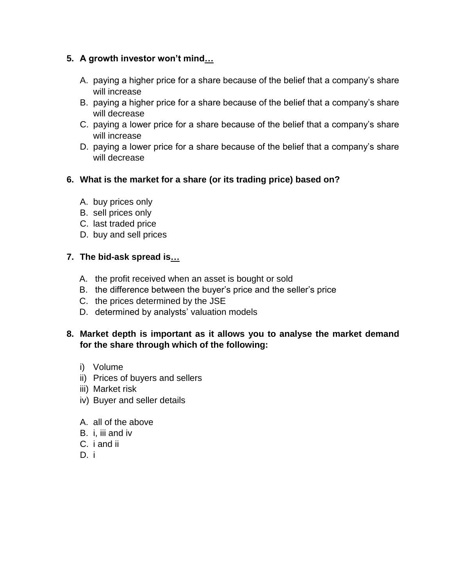# **5. A growth investor won't mind…**

- A. paying a higher price for a share because of the belief that a company's share will increase
- B. paying a higher price for a share because of the belief that a company's share will decrease
- C. paying a lower price for a share because of the belief that a company's share will increase
- D. paying a lower price for a share because of the belief that a company's share will decrease

## **6. What is the market for a share (or its trading price) based on?**

- A. buy prices only
- B. sell prices only
- C. last traded price
- D. buy and sell prices

# **7. The bid-ask spread is…**

- A. the profit received when an asset is bought or sold
- B. the difference between the buyer's price and the seller's price
- C. the prices determined by the JSE
- D. determined by analysts' valuation models

## **8. Market depth is important as it allows you to analyse the market demand for the share through which of the following:**

- i) Volume
- ii) Prices of buyers and sellers
- iii) Market risk
- iv) Buyer and seller details
- A. all of the above
- B. i, iii and iv
- C. i and ii
- D. i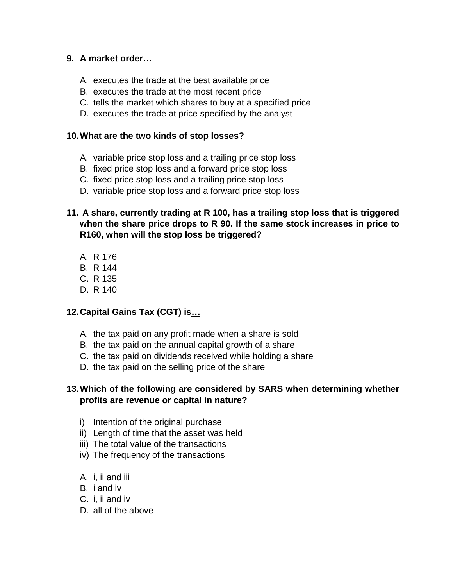## **9. A market order…**

- A. executes the trade at the best available price
- B. executes the trade at the most recent price
- C. tells the market which shares to buy at a specified price
- D. executes the trade at price specified by the analyst

#### **10.What are the two kinds of stop losses?**

- A. variable price stop loss and a trailing price stop loss
- B. fixed price stop loss and a forward price stop loss
- C. fixed price stop loss and a trailing price stop loss
- D. variable price stop loss and a forward price stop loss

## **11. A share, currently trading at R 100, has a trailing stop loss that is triggered when the share price drops to R 90. If the same stock increases in price to R160, when will the stop loss be triggered?**

- A. R 176
- B. R 144
- C. R 135
- D. R 140

## **12.Capital Gains Tax (CGT) is…**

- A. the tax paid on any profit made when a share is sold
- B. the tax paid on the annual capital growth of a share
- C. the tax paid on dividends received while holding a share
- D. the tax paid on the selling price of the share

# **13.Which of the following are considered by SARS when determining whether profits are revenue or capital in nature?**

- i) Intention of the original purchase
- ii) Length of time that the asset was held
- iii) The total value of the transactions
- iv) The frequency of the transactions
- A. i, ii and iii
- B. i and iv
- C. i, ii and iv
- D. all of the above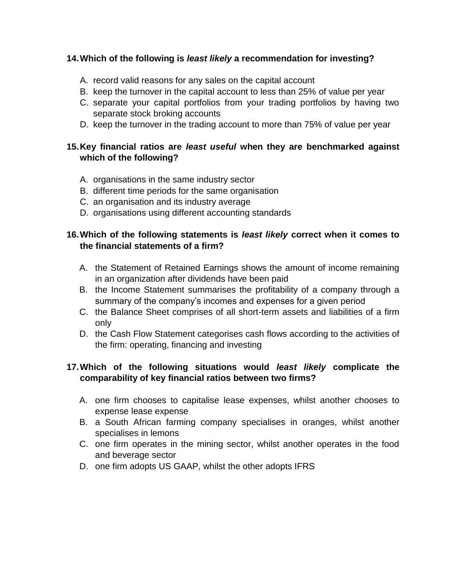#### **14.Which of the following is** *least likely* **a recommendation for investing?**

- A. record valid reasons for any sales on the capital account
- B. keep the turnover in the capital account to less than 25% of value per year
- C. separate your capital portfolios from your trading portfolios by having two separate stock broking accounts
- D. keep the turnover in the trading account to more than 75% of value per year

# **15.Key financial ratios are** *least useful* **when they are benchmarked against which of the following?**

- A. organisations in the same industry sector
- B. different time periods for the same organisation
- C. an organisation and its industry average
- D. organisations using different accounting standards

## **16.Which of the following statements is** *least likely* **correct when it comes to the financial statements of a firm?**

- A. the Statement of Retained Earnings shows the amount of income remaining in an organization after dividends have been paid
- B. the Income Statement summarises the profitability of a company through a summary of the company's incomes and expenses for a given period
- C. the Balance Sheet comprises of all short-term assets and liabilities of a firm only
- D. the Cash Flow Statement categorises cash flows according to the activities of the firm: operating, financing and investing

## **17.Which of the following situations would** *least likely* **complicate the comparability of key financial ratios between two firms?**

- A. one firm chooses to capitalise lease expenses, whilst another chooses to expense lease expense
- B. a South African farming company specialises in oranges, whilst another specialises in lemons
- C. one firm operates in the mining sector, whilst another operates in the food and beverage sector
- D. one firm adopts US GAAP, whilst the other adopts IFRS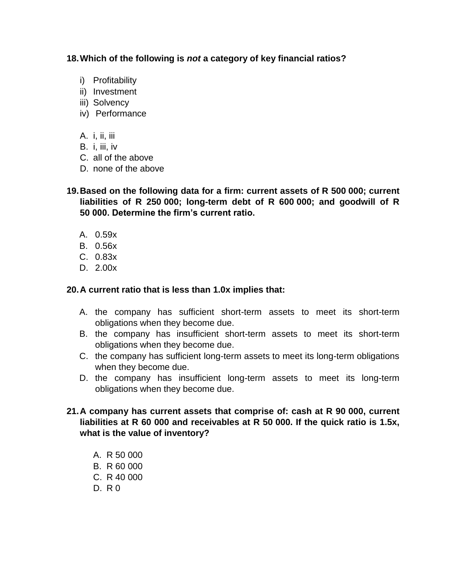#### **18.Which of the following is** *not* **a category of key financial ratios?**

- i) Profitability
- ii) Investment
- iii) Solvency
- iv) Performance
- A. i, ii, iii
- B. i, iii, iv
- C. all of the above
- D. none of the above

**19.Based on the following data for a firm: current assets of R 500 000; current liabilities of R 250 000; long-term debt of R 600 000; and goodwill of R 50 000. Determine the firm's current ratio.**

- A. 0.59x
- B. 0.56x
- C. 0.83x
- D. 2.00x

#### **20.A current ratio that is less than 1.0x implies that:**

- A. the company has sufficient short-term assets to meet its short-term obligations when they become due.
- B. the company has insufficient short-term assets to meet its short-term obligations when they become due.
- C. the company has sufficient long-term assets to meet its long-term obligations when they become due.
- D. the company has insufficient long-term assets to meet its long-term obligations when they become due.

#### **21.A company has current assets that comprise of: cash at R 90 000, current liabilities at R 60 000 and receivables at R 50 000. If the quick ratio is 1.5x, what is the value of inventory?**

A. R 50 000 B. R 60 000 C. R 40 000 D. R 0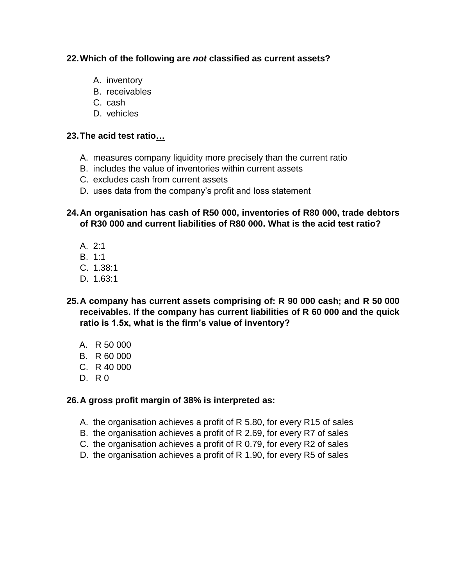## **22.Which of the following are** *not* **classified as current assets?**

- A. inventory
- B. receivables
- C. cash
- D. vehicles

## **23.The acid test ratio…**

- A. measures company liquidity more precisely than the current ratio
- B. includes the value of inventories within current assets
- C. excludes cash from current assets
- D. uses data from the company's profit and loss statement

## **24.An organisation has cash of R50 000, inventories of R80 000, trade debtors of R30 000 and current liabilities of R80 000. What is the acid test ratio?**

- A. 2:1
- B. 1:1
- C. 1.38:1
- D. 1.63:1
- **25.A company has current assets comprising of: R 90 000 cash; and R 50 000 receivables. If the company has current liabilities of R 60 000 and the quick ratio is 1.5x, what is the firm's value of inventory?**
	- A. R 50 000
	- B. R 60 000
	- C. R 40 000
	- D. R 0

## **26.A gross profit margin of 38% is interpreted as:**

- A. the organisation achieves a profit of R 5.80, for every R15 of sales
- B. the organisation achieves a profit of R 2.69, for every R7 of sales
- C. the organisation achieves a profit of R 0.79, for every R2 of sales
- D. the organisation achieves a profit of R 1.90, for every R5 of sales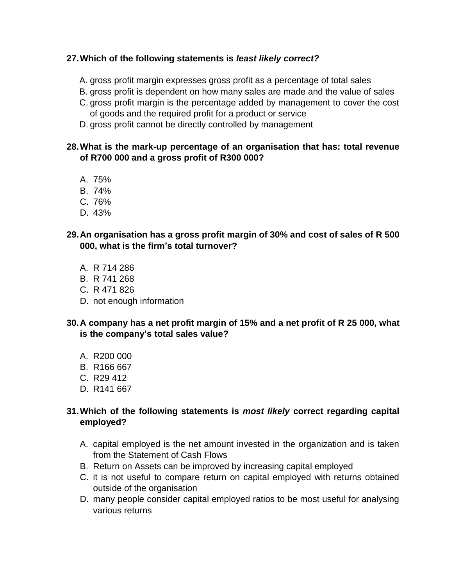## **27.Which of the following statements is** *least likely correct?*

- A. gross profit margin expresses gross profit as a percentage of total sales
- B. gross profit is dependent on how many sales are made and the value of sales
- C. gross profit margin is the percentage added by management to cover the cost of goods and the required profit for a product or service
- D. gross profit cannot be directly controlled by management

## **28.What is the mark-up percentage of an organisation that has: total revenue of R700 000 and a gross profit of R300 000?**

- A. 75%
- B. 74%
- C. 76%
- D. 43%
- **29.An organisation has a gross profit margin of 30% and cost of sales of R 500 000, what is the firm's total turnover?**
	- A. R 714 286
	- B. R 741 268
	- C. R 471 826
	- D. not enough information
- **30.A company has a net profit margin of 15% and a net profit of R 25 000, what is the company's total sales value?**
	- A. R200 000
	- B. R166 667
	- C. R29 412
	- D. R141 667

## **31.Which of the following statements is** *most likely* **correct regarding capital employed?**

- A. capital employed is the net amount invested in the organization and is taken from the Statement of Cash Flows
- B. Return on Assets can be improved by increasing capital employed
- C. it is not useful to compare return on capital employed with returns obtained outside of the organisation
- D. many people consider capital employed ratios to be most useful for analysing various returns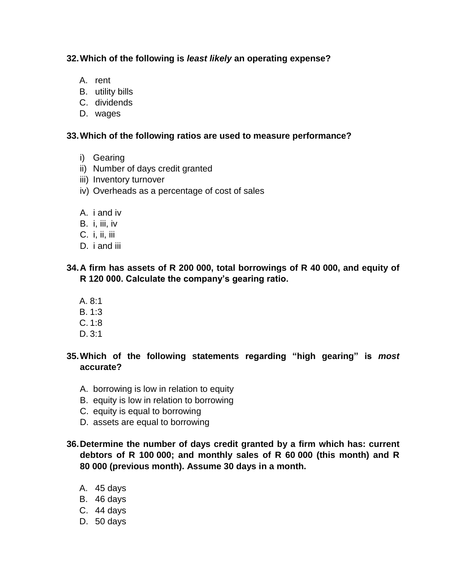#### **32.Which of the following is** *least likely* **an operating expense?**

- A. rent
- B. utility bills
- C. dividends
- D. wages

#### **33.Which of the following ratios are used to measure performance?**

- i) Gearing
- ii) Number of days credit granted
- iii) Inventory turnover
- iv) Overheads as a percentage of cost of sales
- A. i and iv
- B. i, iii, iv
- C. i, ii, iii
- D. *i* and *iii*

# **34.A firm has assets of R 200 000, total borrowings of R 40 000, and equity of R 120 000. Calculate the company's gearing ratio.**

- A. 8:1
- B. 1:3
- C. 1:8
- D. 3:1

# **35.Which of the following statements regarding "high gearing" is** *most*  **accurate?**

- A. borrowing is low in relation to equity
- B. equity is low in relation to borrowing
- C. equity is equal to borrowing
- D. assets are equal to borrowing

# **36.Determine the number of days credit granted by a firm which has: current debtors of R 100 000; and monthly sales of R 60 000 (this month) and R 80 000 (previous month). Assume 30 days in a month.**

- A. 45 days
- B. 46 days
- C. 44 days
- D. 50 days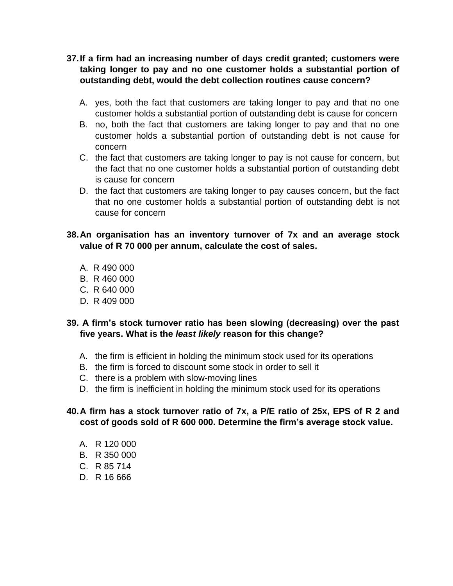- **37.If a firm had an increasing number of days credit granted; customers were taking longer to pay and no one customer holds a substantial portion of outstanding debt, would the debt collection routines cause concern?**
	- A. yes, both the fact that customers are taking longer to pay and that no one customer holds a substantial portion of outstanding debt is cause for concern
	- B. no, both the fact that customers are taking longer to pay and that no one customer holds a substantial portion of outstanding debt is not cause for concern
	- C. the fact that customers are taking longer to pay is not cause for concern, but the fact that no one customer holds a substantial portion of outstanding debt is cause for concern
	- D. the fact that customers are taking longer to pay causes concern, but the fact that no one customer holds a substantial portion of outstanding debt is not cause for concern

## **38.An organisation has an inventory turnover of 7x and an average stock value of R 70 000 per annum, calculate the cost of sales.**

- A. R 490 000
- B. R 460 000
- C. R 640 000
- D. R 409 000

# **39. A firm's stock turnover ratio has been slowing (decreasing) over the past five years. What is the** *least likely* **reason for this change?**

- A. the firm is efficient in holding the minimum stock used for its operations
- B. the firm is forced to discount some stock in order to sell it
- C. there is a problem with slow-moving lines
- D. the firm is inefficient in holding the minimum stock used for its operations

# **40.A firm has a stock turnover ratio of 7x, a P/E ratio of 25x, EPS of R 2 and cost of goods sold of R 600 000. Determine the firm's average stock value.**

- A. R 120 000
- B. R 350 000
- C. R 85 714
- D. R 16 666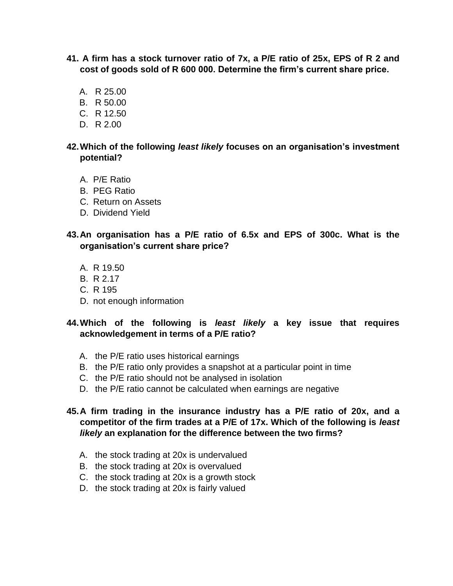- **41. A firm has a stock turnover ratio of 7x, a P/E ratio of 25x, EPS of R 2 and cost of goods sold of R 600 000. Determine the firm's current share price.**
	- A. R 25.00
	- B. R 50.00
	- C. R 12.50
	- D. R 2.00

#### **42.Which of the following** *least likely* **focuses on an organisation's investment potential?**

- A. P/E Ratio
- B. PEG Ratio
- C. Return on Assets
- D. Dividend Yield
- **43.An organisation has a P/E ratio of 6.5x and EPS of 300c. What is the organisation's current share price?**
	- A. R 19.50
	- B. R 2.17
	- C. R 195
	- D. not enough information

## **44.Which of the following is** *least likely* **a key issue that requires acknowledgement in terms of a P/E ratio?**

- A. the P/E ratio uses historical earnings
- B. the P/E ratio only provides a snapshot at a particular point in time
- C. the P/E ratio should not be analysed in isolation
- D. the P/E ratio cannot be calculated when earnings are negative

#### **45.A firm trading in the insurance industry has a P/E ratio of 20x, and a competitor of the firm trades at a P/E of 17x. Which of the following is** *least likely* **an explanation for the difference between the two firms?**

- A. the stock trading at 20x is undervalued
- B. the stock trading at 20x is overvalued
- C. the stock trading at 20x is a growth stock
- D. the stock trading at 20x is fairly valued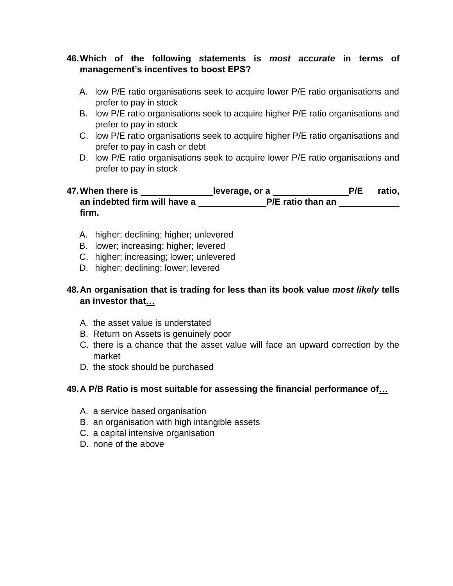## **46.Which of the following statements is** *most accurate* **in terms of management's incentives to boost EPS?**

- A. low P/E ratio organisations seek to acquire lower P/E ratio organisations and prefer to pay in stock
- B. low P/E ratio organisations seek to acquire higher P/E ratio organisations and prefer to pay in stock
- C. low P/E ratio organisations seek to acquire higher P/E ratio organisations and prefer to pay in cash or debt
- D. low P/E ratio organisations seek to acquire lower P/E ratio organisations and prefer to pay in stock

#### 47. When there is \_\_\_\_\_\_\_\_\_\_\_\_\_\_\_leverage, or a \_\_\_\_\_\_\_\_\_\_\_\_\_\_\_P/E ratio, **an indebted firm will have a \_\_\_\_\_\_\_\_\_\_\_\_\_\_\_\_\_P/E ratio than an firm.**

- A. higher; declining; higher; unlevered
- B. lower; increasing; higher; levered
- C. higher; increasing; lower; unlevered
- D. higher; declining; lower; levered

# **48.An organisation that is trading for less than its book value** *most likely* **tells an investor that…**

- A. the asset value is understated
- B. Return on Assets is genuinely poor
- C. there is a chance that the asset value will face an upward correction by the market
- D. the stock should be purchased

## **49.A P/B Ratio is most suitable for assessing the financial performance of…**

- A. a service based organisation
- B. an organisation with high intangible assets
- C. a capital intensive organisation
- D. none of the above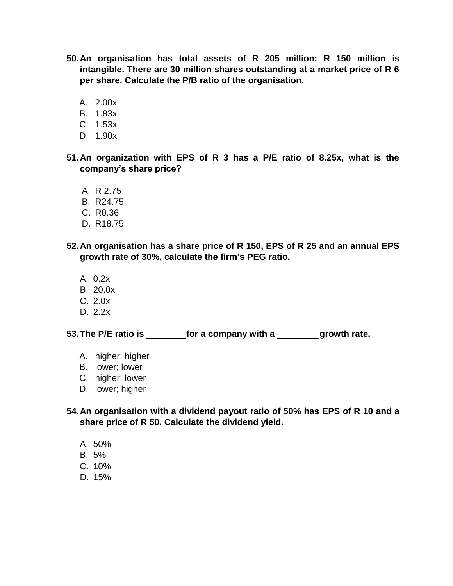- **50.An organisation has total assets of R 205 million: R 150 million is intangible. There are 30 million shares outstanding at a market price of R 6 per share. Calculate the P/B ratio of the organisation.**
	- A. 2.00x
	- B. 1.83x
	- C. 1.53x
	- D. 1.90x
- **51.An organization with EPS of R 3 has a P/E ratio of 8.25x, what is the company's share price?**
	- A. R 2.75
	- B. R24.75
	- C. R0.36
	- D. R18.75
- **52.An organisation has a share price of R 150, EPS of R 25 and an annual EPS growth rate of 30%, calculate the firm's PEG ratio.**
	- A. 0.2x
	- B. 20.0x
	- C. 2.0x
	- D. 2.2x

**53.The P/E ratio is for a company with a growth rate.**

- A. higher; higher
- B. lower; lower
- C. higher; lower
- D. lower; higher

**54.An organisation with a dividend payout ratio of 50% has EPS of R 10 and a share price of R 50. Calculate the dividend yield.**

- A. 50%
- B. 5%
- C. 10%
- D. 15%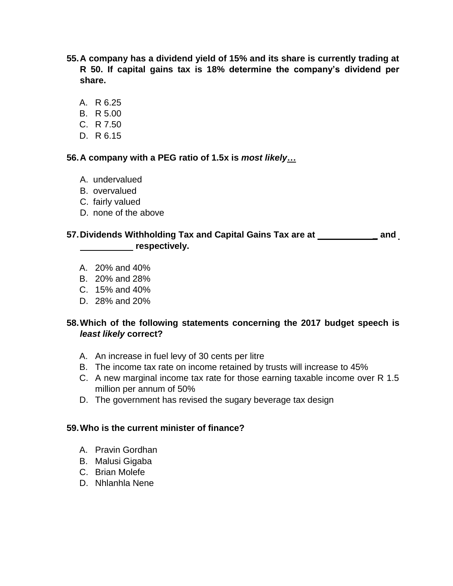- **55.A company has a dividend yield of 15% and its share is currently trading at R 50. If capital gains tax is 18% determine the company's dividend per share.**
	- A. R 6.25
	- B. R 5.00
	- C. R 7.50
	- D. R 6.15

#### **56.A company with a PEG ratio of 1.5x is** *most likely***…**

- A. undervalued
- B. overvalued
- C. fairly valued
- D. none of the above

# **57.Dividends Withholding Tax and Capital Gains Tax are at \_ and respectively.**

- A. 20% and 40%
- B. 20% and 28%
- C. 15% and 40%
- D. 28% and 20%

# **58.Which of the following statements concerning the 2017 budget speech is** *least likely* **correct?**

- A. An increase in fuel levy of 30 cents per litre
- B. The income tax rate on income retained by trusts will increase to 45%
- C. A new marginal income tax rate for those earning taxable income over R 1.5 million per annum of 50%
- D. The government has revised the sugary beverage tax design

#### **59.Who is the current minister of finance?**

- A. Pravin Gordhan
- B. Malusi Gigaba
- C. Brian Molefe
- D. Nhlanhla Nene